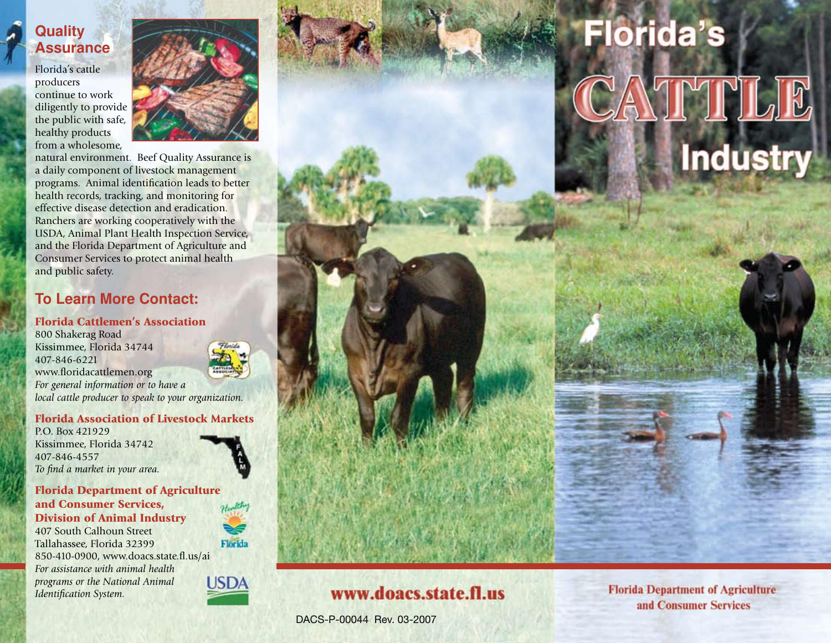## **Quality Assurance**

Florida's cattle producers continue to work diligently to provide the public with safe, healthy products from a wholesome,



natural environment. Beef Quality Assurance is a daily component of livestock management programs. Animal identification leads to better health records, tracking, and monitoring for effective disease detection and eradication. Ranchers are working cooperatively with the USDA, Animal Plant Health Inspection Service, and the Florida Department of Agriculture and Consumer Services to protect animal health and public safety.

## **To Learn More Contact:**

#### Florida Cattlemen's Association

800 Shakerag Road Kissimmee, Florida 34744 407-846-6221 www.floridacattlemen.org *For general information or to have a local cattle producer to speak to your organization.*

#### Florida Association of Livestock Markets

P.O. Box 421929 Kissimmee, Florida 34742 407-846-4557 *To find a market in your area.*



#### Florida Department of Agriculture and Consumer Services, Division of Animal Industry

407 South Calhoun Street Tallahassee, Florida 32399 850-410-0900, www.doacs.state.fl.us/ai *For assistance with animal health programs or the National Animal Identification System.*



**USDA** 



# www.doacs.state.fl.us

DACS-P-00044 Rev. 03-2007

**Florida Department of Agriculture** and Consumer Services